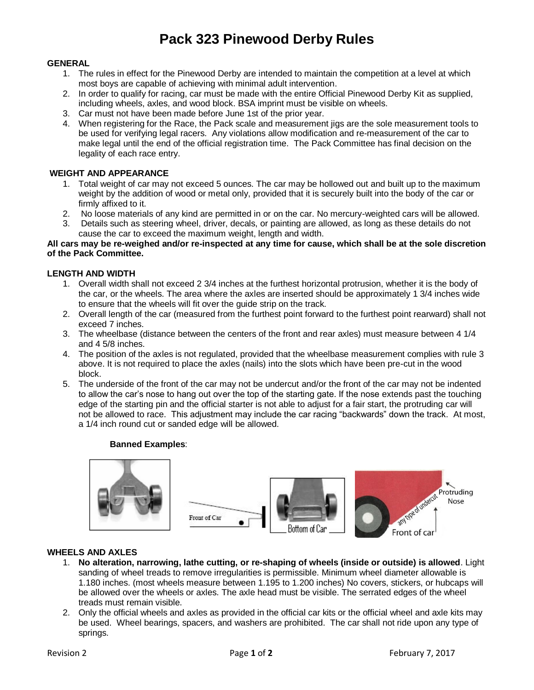# **Pack 323 Pinewood Derby Rules**

## **GENERAL**

- 1. The rules in effect for the Pinewood Derby are intended to maintain the competition at a level at which most boys are capable of achieving with minimal adult intervention.
- 2. In order to qualify for racing, car must be made with the entire Official Pinewood Derby Kit as supplied, including wheels, axles, and wood block. BSA imprint must be visible on wheels.
- 3. Car must not have been made before June 1st of the prior year.
- 4. When registering for the Race, the Pack scale and measurement jigs are the sole measurement tools to be used for verifying legal racers. Any violations allow modification and re-measurement of the car to make legal until the end of the official registration time. The Pack Committee has final decision on the legality of each race entry.

## **WEIGHT AND APPEARANCE**

- 1. Total weight of car may not exceed 5 ounces. The car may be hollowed out and built up to the maximum weight by the addition of wood or metal only, provided that it is securely built into the body of the car or firmly affixed to it.
- 2. No loose materials of any kind are permitted in or on the car. No mercury-weighted cars will be allowed.
- 3. Details such as steering wheel, driver, decals, or painting are allowed, as long as these details do not cause the car to exceed the maximum weight, length and width.

#### **All cars may be re-weighed and/or re-inspected at any time for cause, which shall be at the sole discretion of the Pack Committee.**

#### **LENGTH AND WIDTH**

- 1. Overall width shall not exceed 2 3/4 inches at the furthest horizontal protrusion, whether it is the body of the car, or the wheels. The area where the axles are inserted should be approximately 1 3/4 inches wide to ensure that the wheels will fit over the guide strip on the track.
- 2. Overall length of the car (measured from the furthest point forward to the furthest point rearward) shall not exceed 7 inches.
- 3. The wheelbase (distance between the centers of the front and rear axles) must measure between 4 1/4 and 4 5/8 inches.
- 4. The position of the axles is not regulated, provided that the wheelbase measurement complies with rule 3 above. It is not required to place the axles (nails) into the slots which have been pre-cut in the wood block.
- 5. The underside of the front of the car may not be undercut and/or the front of the car may not be indented to allow the car's nose to hang out over the top of the starting gate. If the nose extends past the touching edge of the starting pin and the official starter is not able to adjust for a fair start, the protruding car will not be allowed to race. This adjustment may include the car racing "backwards" down the track. At most, a 1/4 inch round cut or sanded edge will be allowed.

#### **Banned Examples**:



#### **WHEELS AND AXLES**

- 1. **No alteration, narrowing, lathe cutting, or re-shaping of wheels (inside or outside) is allowed**. Light sanding of wheel treads to remove irregularities is permissible. Minimum wheel diameter allowable is 1.180 inches. (most wheels measure between 1.195 to 1.200 inches) No covers, stickers, or hubcaps will be allowed over the wheels or axles. The axle head must be visible. The serrated edges of the wheel treads must remain visible.
- 2. Only the official wheels and axles as provided in the official car kits or the official wheel and axle kits may be used. Wheel bearings, spacers, and washers are prohibited. The car shall not ride upon any type of springs.